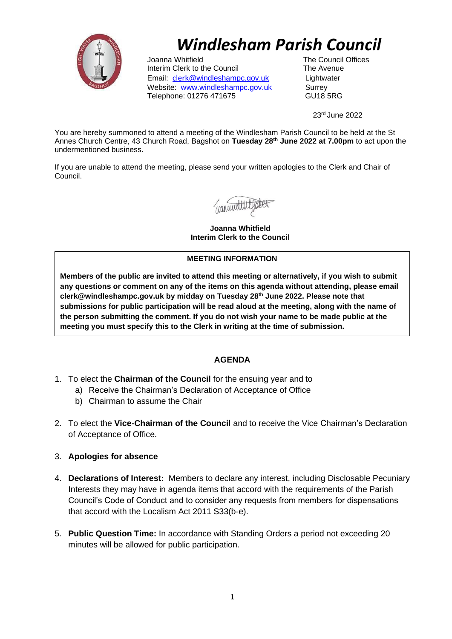

# *Windlesham Parish Council*

Joanna Whitfield **The Council Offices** Interim Clerk to the Council The Avenue Email: [clerk](mailto:clerk@windleshampc.gov.uk)[@windleshampc.gov.uk](mailto:clerk@windleshampc.gov.uk) Lightwater Website: [www.windleshampc.gov.uk](http://www.windleshampc.gov.uk/) Surrey Telephone: 01276 471675 GU18 5RG

23rd June 2022

You are hereby summoned to attend a meeting of the Windlesham Parish Council to be held at the St Annes Church Centre, 43 Church Road, Bagshot on **Tuesday 28th June 2022 at 7.00pm** to act upon the undermentioned business.

If you are unable to attend the meeting, please send your written apologies to the Clerk and Chair of Council.

**Joanna Whitfield Interim Clerk to the Council**

#### **MEETING INFORMATION**

**Members of the public are invited to attend this meeting or alternatively, if you wish to submit any questions or comment on any of the items on this agenda without attending, please email clerk@windleshampc.gov.uk by midday on Tuesday 28th June 2022. Please note that submissions for public participation will be read aloud at the meeting, along with the name of the person submitting the comment. If you do not wish your name to be made public at the meeting you must specify this to the Clerk in writing at the time of submission.**

## **AGENDA**

- 1. To elect the **Chairman of the Council** for the ensuing year and to
	- a) Receive the Chairman's Declaration of Acceptance of Office
	- b) Chairman to assume the Chair
- 2. To elect the **Vice-Chairman of the Council** and to receive the Vice Chairman's Declaration of Acceptance of Office.
- 3. **Apologies for absence**
- 4. **Declarations of Interest:** Members to declare any interest, including Disclosable Pecuniary Interests they may have in agenda items that accord with the requirements of the Parish Council's Code of Conduct and to consider any requests from members for dispensations that accord with the Localism Act 2011 S33(b-e).
- 5. **Public Question Time:** In accordance with Standing Orders a period not exceeding 20 minutes will be allowed for public participation.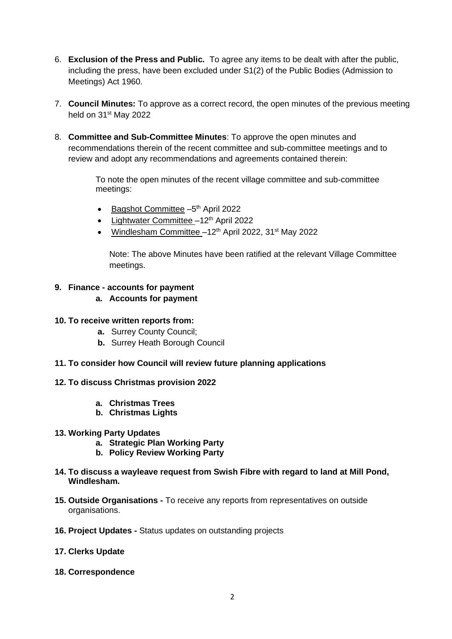- 6. **Exclusion of the Press and Public.** To agree any items to be dealt with after the public, including the press, have been excluded under S1(2) of the Public Bodies (Admission to Meetings) Act 1960.
- 7. **Council Minutes:** To approve as a correct record, the open minutes of the previous meeting held on 31<sup>st</sup> May 2022
- 8. **Committee and Sub-Committee Minutes**: To approve the open minutes and recommendations therein of the recent committee and sub-committee meetings and to review and adopt any recommendations and agreements contained therein:

To note the open minutes of the recent village committee and sub-committee meetings:

- Bagshot Committee -5<sup>th</sup> April 2022
- Lightwater Committee  $-12<sup>th</sup>$  April 2022
- Windlesham Committee  $-12<sup>th</sup>$  April 2022, 31<sup>st</sup> May 2022

Note: The above Minutes have been ratified at the relevant Village Committee meetings.

### **9. Finance - accounts for payment**

- **a. Accounts for payment**
- **10. To receive written reports from:**
	- **a.** Surrey County Council;
	- **b.** Surrey Heath Borough Council
- **11. To consider how Council will review future planning applications**
- **12. To discuss Christmas provision 2022**
	- **a. Christmas Trees**
	- **b. Christmas Lights**
- **13. Working Party Updates**
	- **a. Strategic Plan Working Party**
	- **b. Policy Review Working Party**
- **14. To discuss a wayleave request from Swish Fibre with regard to land at Mill Pond, Windlesham.**
- **15. Outside Organisations -** To receive any reports from representatives on outside organisations.
- **16. Project Updates -** Status updates on outstanding projects
- **17. Clerks Update**
- **18. Correspondence**